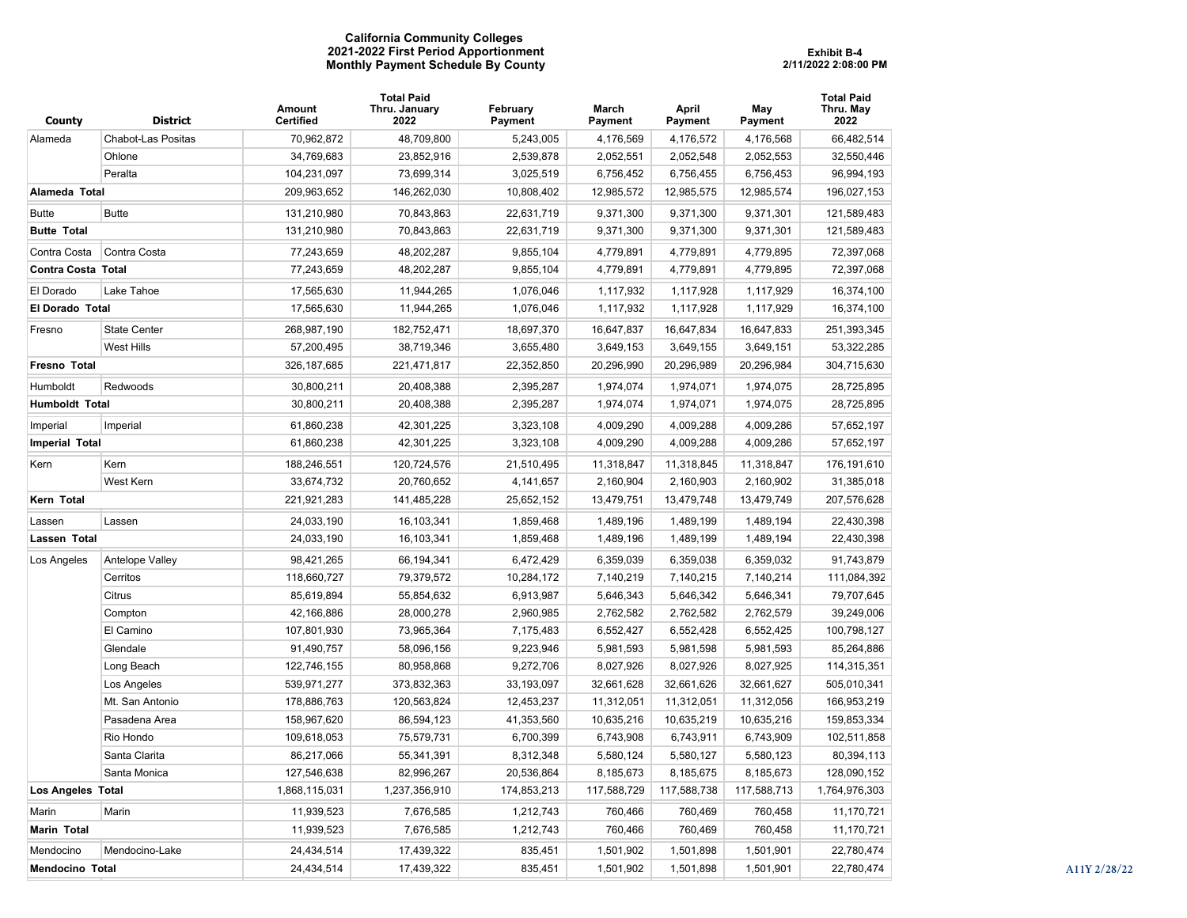## **California Community Colleges 2021-2022 First Period Apportionment Monthly Payment Schedule By County**

| County                 | <b>District</b>           | Amount<br><b>Certified</b> | Total Paid<br>Thru. January<br>2022 | February<br>Payment | March<br>Payment | April<br>Payment | May<br>Payment | <b>Total Paid</b><br>Thru. May<br>2022 |
|------------------------|---------------------------|----------------------------|-------------------------------------|---------------------|------------------|------------------|----------------|----------------------------------------|
| Alameda                | <b>Chabot-Las Positas</b> | 70,962,872                 | 48,709,800                          | 5,243,005           | 4,176,569        | 4,176,572        | 4,176,568      | 66,482,514                             |
|                        | Ohlone                    | 34,769,683                 | 23,852,916                          | 2,539,878           | 2,052,551        | 2,052,548        | 2,052,553      | 32,550,446                             |
|                        | Peralta                   | 104,231,097                | 73,699,314                          | 3,025,519           | 6,756,452        | 6,756,455        | 6,756,453      | 96,994,193                             |
| Alameda Total          |                           | 209,963,652                | 146,262,030                         | 10,808,402          | 12,985,572       | 12,985,575       | 12,985,574     | 196,027,153                            |
| <b>Butte</b>           | <b>Butte</b>              | 131,210,980                | 70,843,863                          | 22,631,719          | 9,371,300        | 9,371,300        | 9,371,301      | 121,589,483                            |
| <b>Butte Total</b>     |                           | 131,210,980                | 70,843,863                          | 22,631,719          | 9,371,300        | 9,371,300        | 9,371,301      | 121,589,483                            |
| Contra Costa           | Contra Costa              | 77,243,659                 | 48,202,287                          | 9,855,104           | 4,779,891        | 4,779,891        | 4,779,895      | 72,397,068                             |
| Contra Costa Total     |                           | 77,243,659                 | 48,202,287                          | 9,855,104           | 4,779,891        | 4,779,891        | 4,779,895      | 72,397,068                             |
| El Dorado              | Lake Tahoe                | 17,565,630                 | 11,944,265                          | 1,076,046           | 1,117,932        | 1,117,928        | 1,117,929      | 16,374,100                             |
| <b>El Dorado Total</b> |                           | 17,565,630                 | 11,944,265                          | 1,076,046           | 1,117,932        | 1,117,928        | 1,117,929      | 16,374,100                             |
| Fresno                 | <b>State Center</b>       | 268,987,190                | 182,752,471                         | 18,697,370          | 16,647,837       | 16,647,834       | 16,647,833     | 251,393,345                            |
|                        | <b>West Hills</b>         | 57,200,495                 | 38,719,346                          | 3,655,480           | 3,649,153        | 3,649,155        | 3,649,151      | 53,322,285                             |
| Fresno Total           |                           | 326, 187, 685              | 221,471,817                         | 22,352,850          | 20,296,990       | 20,296,989       | 20,296,984     | 304,715,630                            |
| Humboldt               | Redwoods                  | 30,800,211                 | 20,408,388                          | 2,395,287           | 1,974,074        | 1,974,071        | 1,974,075      | 28,725,895                             |
| Humboldt Total         |                           | 30,800,211                 | 20,408,388                          | 2,395,287           | 1,974,074        | 1,974,071        | 1,974,075      | 28,725,895                             |
| Imperial               | Imperial                  | 61,860,238                 | 42,301,225                          | 3,323,108           | 4,009,290        | 4,009,288        | 4,009,286      | 57,652,197                             |
| <b>Imperial Total</b>  |                           | 61,860,238                 | 42,301,225                          | 3,323,108           | 4,009,290        | 4,009,288        | 4,009,286      | 57,652,197                             |
| Kern                   | Kern                      | 188,246,551                | 120,724,576                         | 21,510,495          | 11,318,847       | 11,318,845       | 11,318,847     | 176, 191, 610                          |
|                        | West Kern                 | 33,674,732                 | 20,760,652                          | 4,141,657           | 2,160,904        | 2,160,903        | 2,160,902      | 31,385,018                             |
| Kern Total             |                           | 221,921,283                | 141,485,228                         | 25,652,152          | 13,479,751       | 13,479,748       | 13,479,749     | 207,576,628                            |
| Lassen                 | Lassen                    | 24,033,190                 | 16,103,341                          | 1,859,468           | 1,489,196        | 1,489,199        | 1,489,194      | 22,430,398                             |
| Lassen Total           |                           | 24,033,190                 | 16,103,341                          | 1,859,468           | 1,489,196        | 1,489,199        | 1,489,194      | 22,430,398                             |
| Los Angeles            | Antelope Valley           | 98,421,265                 | 66,194,341                          | 6,472,429           | 6,359,039        | 6,359,038        | 6,359,032      | 91,743,879                             |
|                        | Cerritos                  | 118,660,727                | 79,379,572                          | 10,284,172          | 7,140,219        | 7,140,215        | 7,140,214      | 111,084,392                            |
|                        | Citrus                    | 85,619,894                 | 55,854,632                          | 6,913,987           | 5,646,343        | 5,646,342        | 5,646,341      | 79,707,645                             |
|                        | Compton                   | 42,166,886                 | 28,000,278                          | 2,960,985           | 2,762,582        | 2,762,582        | 2,762,579      | 39,249,006                             |
|                        | El Camino                 | 107,801,930                | 73,965,364                          | 7,175,483           | 6,552,427        | 6,552,428        | 6,552,425      | 100,798,127                            |
|                        | Glendale                  | 91,490,757                 | 58,096,156                          | 9,223,946           | 5,981,593        | 5,981,598        | 5,981,593      | 85,264,886                             |
|                        | Long Beach                | 122,746,155                | 80,958,868                          | 9,272,706           | 8,027,926        | 8,027,926        | 8,027,925      | 114,315,351                            |
|                        | Los Angeles               | 539,971,277                | 373,832,363                         | 33,193,097          | 32,661,628       | 32,661,626       | 32,661,627     | 505,010,341                            |
|                        | Mt. San Antonio           | 178,886,763                | 120,563,824                         | 12,453,237          | 11,312,051       | 11,312,051       | 11,312,056     | 166,953,219                            |
|                        | Pasadena Area             | 158,967,620                | 86,594,123                          | 41,353,560          | 10,635,216       | 10,635,219       | 10,635,216     | 159,853,334                            |
|                        | Rio Hondo                 | 109,618,053                | 75,579,731                          | 6,700,399           | 6,743,908        | 6,743,911        | 6,743,909      | 102,511,858                            |
|                        | Santa Clarita             | 86,217,066                 | 55,341,391                          | 8,312,348           | 5,580,124        | 5,580,127        | 5,580,123      | 80,394,113                             |
|                        | Santa Monica              | 127,546,638                | 82,996,267                          | 20,536,864          | 8,185,673        | 8,185,675        | 8,185,673      | 128,090,152                            |
| Los Angeles Total      |                           | 1,868,115,031              | 1,237,356,910                       | 174,853,213         | 117,588,729      | 117,588,738      | 117,588,713    | 1,764,976,303                          |
| Marin                  | Marin                     | 11,939,523                 | 7,676,585                           | 1,212,743           | 760,466          | 760,469          | 760,458        | 11,170,721                             |
| Marin Total            |                           | 11,939,523                 | 7,676,585                           | 1,212,743           | 760,466          | 760,469          | 760,458        | 11,170,721                             |
| Mendocino              | Mendocino-Lake            | 24,434,514                 | 17,439,322                          | 835,451             | 1,501,902        | 1,501,898        | 1,501,901      | 22,780,474                             |
| <b>Mendocino Total</b> |                           | 24,434,514                 | 17,439,322                          | 835,451             | 1,501,902        | 1,501,898        | 1,501,901      | 22,780,474                             |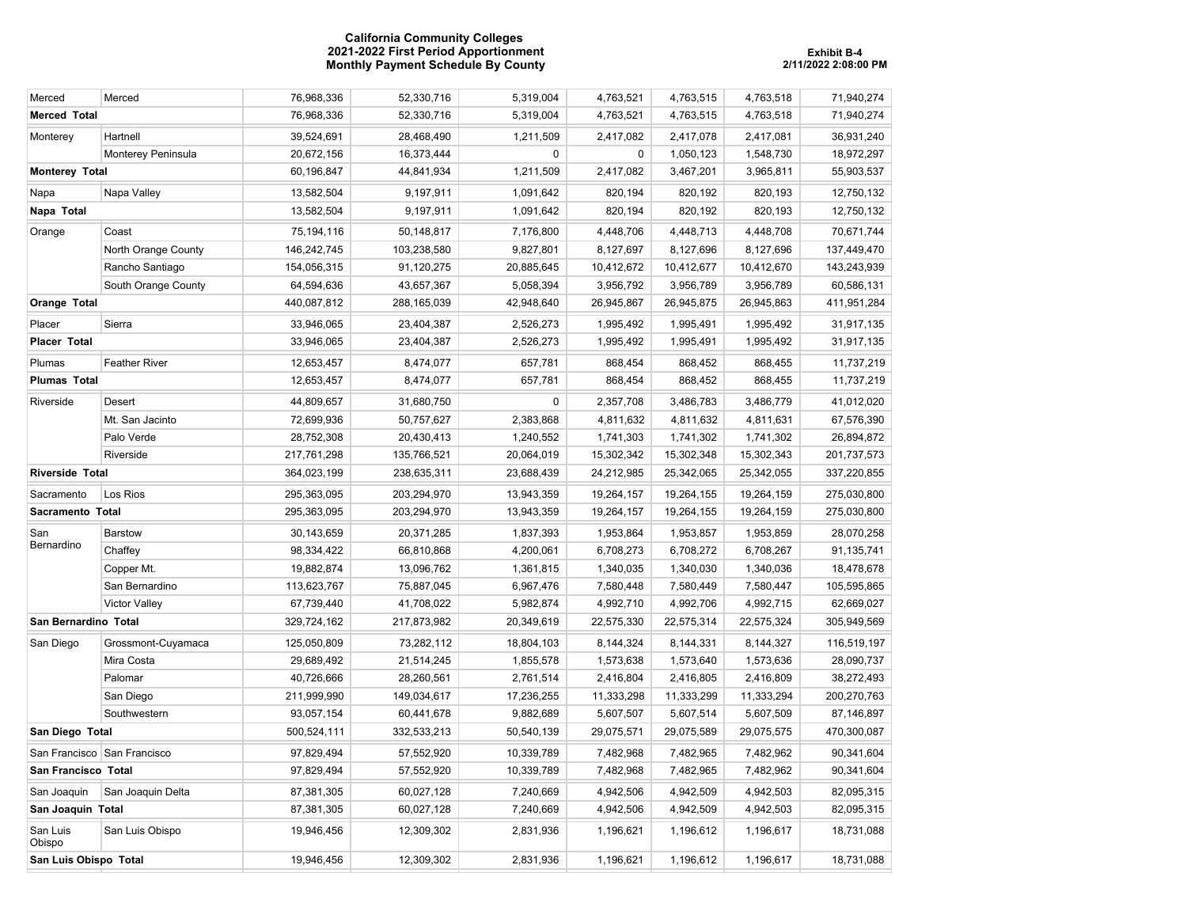## **California Community Colleges 2021-2022 First Period Apportionment Exhibit B-4 Monthly Payment Schedule By County 2/11/2022 2:08:00 PM**

| Merced                      | Merced               | 76,968,336  | 52,330,716  | 5,319,004  | 4,763,521  | 4,763,515  | 4,763,518  | 71,940,274  |
|-----------------------------|----------------------|-------------|-------------|------------|------------|------------|------------|-------------|
| <b>Merced Total</b>         |                      | 76,968,336  | 52,330,716  | 5,319,004  | 4,763,521  | 4,763,515  | 4,763,518  | 71,940,274  |
| Monterey                    | Hartnell             | 39,524,691  | 28,468,490  | 1,211,509  | 2,417,082  | 2,417,078  | 2,417,081  | 36,931,240  |
|                             | Monterey Peninsula   | 20,672,156  | 16,373,444  | $\pmb{0}$  | 0          | 1,050,123  | 1,548,730  | 18,972,297  |
| <b>Monterey Total</b>       |                      | 60,196,847  | 44,841,934  | 1,211,509  | 2,417,082  | 3,467,201  | 3,965,811  | 55,903,537  |
| Napa                        | Napa Valley          | 13,582,504  | 9,197,911   | 1,091,642  | 820,194    | 820,192    | 820,193    | 12,750,132  |
| Napa Total                  |                      | 13,582,504  | 9,197,911   | 1,091,642  | 820,194    | 820,192    | 820,193    | 12,750,132  |
| Orange                      | Coast                | 75,194,116  | 50,148,817  | 7,176,800  | 4,448,706  | 4,448,713  | 4,448,708  | 70,671,744  |
|                             | North Orange County  | 146,242,745 | 103,238,580 | 9,827,801  | 8,127,697  | 8,127,696  | 8,127,696  | 137,449,470 |
|                             | Rancho Santiago      | 154,056,315 | 91,120,275  | 20,885,645 | 10,412,672 | 10,412,677 | 10,412,670 | 143,243,939 |
|                             | South Orange County  | 64,594,636  | 43,657,367  | 5,058,394  | 3,956,792  | 3,956,789  | 3,956,789  | 60,586,131  |
| Orange Total                |                      | 440,087,812 | 288,165,039 | 42,948,640 | 26,945,867 | 26,945,875 | 26,945,863 | 411,951,284 |
| Placer                      | Sierra               | 33,946,065  | 23,404,387  | 2,526,273  | 1,995,492  | 1,995,491  | 1,995,492  | 31,917,135  |
| <b>Placer Total</b>         |                      | 33,946,065  | 23,404,387  | 2,526,273  | 1,995,492  | 1,995,491  | 1,995,492  | 31,917,135  |
| Plumas                      | <b>Feather River</b> | 12,653,457  | 8,474,077   | 657,781    | 868,454    | 868,452    | 868,455    | 11,737,219  |
| <b>Plumas Total</b>         |                      | 12,653,457  | 8,474,077   | 657,781    | 868,454    | 868,452    | 868,455    | 11,737,219  |
| Riverside                   | Desert               | 44,809,657  | 31,680,750  | 0          | 2,357,708  | 3,486,783  | 3,486,779  | 41,012,020  |
|                             | Mt. San Jacinto      | 72,699,936  | 50,757,627  | 2,383,868  | 4,811,632  | 4,811,632  | 4,811,631  | 67,576,390  |
|                             | Palo Verde           | 28,752,308  | 20,430,413  | 1,240,552  | 1,741,303  | 1,741,302  | 1,741,302  | 26,894,872  |
|                             | Riverside            | 217,761,298 | 135,766,521 | 20,064,019 | 15,302,342 | 15,302,348 | 15,302,343 | 201,737,573 |
| <b>Riverside Total</b>      |                      | 364,023,199 | 238,635,311 | 23,688,439 | 24,212,985 | 25,342,065 | 25,342,055 | 337,220,855 |
| Sacramento                  | Los Rios             | 295,363,095 | 203,294,970 | 13,943,359 | 19,264,157 | 19,264,155 | 19,264,159 | 275,030,800 |
| Sacramento Total            |                      | 295,363,095 | 203,294,970 | 13,943,359 | 19,264,157 | 19,264,155 | 19,264,159 | 275,030,800 |
| San                         | <b>Barstow</b>       | 30,143,659  | 20,371,285  | 1,837,393  | 1,953,864  | 1,953,857  | 1,953,859  | 28,070,258  |
| Bernardino                  | Chaffey              | 98,334,422  | 66,810,868  | 4,200,061  | 6,708,273  | 6,708,272  | 6,708,267  | 91,135,741  |
|                             | Copper Mt.           | 19,882,874  | 13,096,762  | 1,361,815  | 1,340,035  | 1,340,030  | 1,340,036  | 18,478,678  |
|                             | San Bernardino       | 113,623,767 | 75,887,045  | 6,967,476  | 7,580,448  | 7,580,449  | 7,580,447  | 105,595,865 |
|                             | <b>Victor Valley</b> | 67,739,440  | 41,708,022  | 5,982,874  | 4,992,710  | 4,992,706  | 4,992,715  | 62,669,027  |
| San Bernardino Total        |                      | 329,724,162 | 217,873,982 | 20,349,619 | 22,575,330 | 22,575,314 | 22,575,324 | 305,949,569 |
| San Diego                   | Grossmont-Cuyamaca   | 125,050,809 | 73,282,112  | 18,804,103 | 8,144,324  | 8,144,331  | 8,144,327  | 116,519,197 |
|                             | Mira Costa           | 29,689,492  | 21,514,245  | 1,855,578  | 1,573,638  | 1,573,640  | 1,573,636  | 28,090,737  |
|                             | Palomar              | 40,726,666  | 28,260,561  | 2,761,514  | 2,416,804  | 2,416,805  | 2,416,809  | 38,272,493  |
|                             | San Diego            | 211,999,990 | 149,034,617 | 17,236,255 | 11,333,298 | 11,333,299 | 11,333,294 | 200,270,763 |
|                             | Southwestern         | 93,057,154  | 60,441,678  | 9,882,689  | 5,607,507  | 5,607,514  | 5,607,509  | 87,146,897  |
| San Diego Total             |                      | 500,524,111 | 332,533,213 | 50,540,139 | 29,075,571 | 29,075,589 | 29,075,575 | 470,300,087 |
| San Francisco San Francisco |                      | 97,829,494  | 57,552,920  | 10,339,789 | 7,482,968  | 7,482,965  | 7,482,962  | 90,341,604  |
| San Francisco Total         |                      | 97,829,494  | 57,552,920  | 10,339,789 | 7,482,968  | 7,482,965  | 7,482,962  | 90,341,604  |
| San Joaquin                 | San Joaquin Delta    | 87,381,305  | 60,027,128  | 7,240,669  | 4,942,506  | 4,942,509  | 4,942,503  | 82,095,315  |
| San Joaquin Total           |                      | 87,381,305  | 60,027,128  | 7,240,669  | 4,942,506  | 4,942,509  | 4,942,503  | 82,095,315  |
| San Luis<br>Obispo          | San Luis Obispo      | 19,946,456  | 12,309,302  | 2,831,936  | 1,196,621  | 1,196,612  | 1,196,617  | 18,731,088  |
| San Luis Obispo Total       |                      | 19,946,456  | 12,309,302  | 2,831,936  | 1,196,621  | 1,196,612  | 1,196,617  | 18,731,088  |